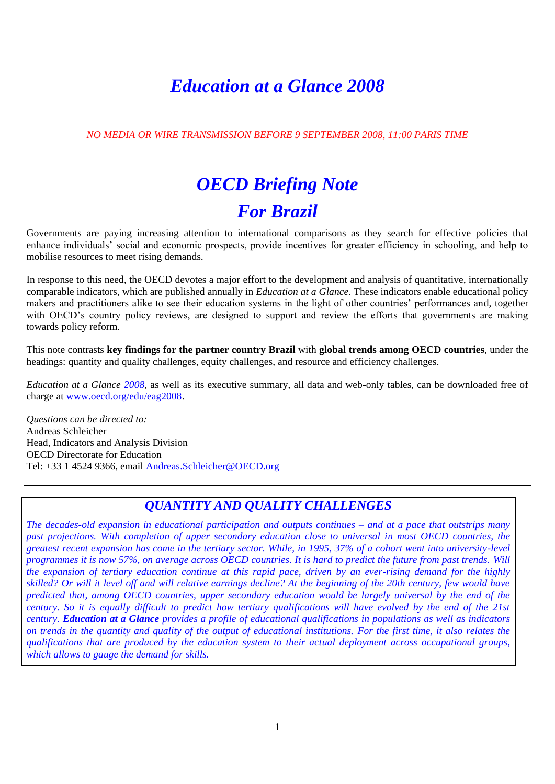## *Education at a Glance 2008*

*NO MEDIA OR WIRE TRANSMISSION BEFORE 9 SEPTEMBER 2008, 11:00 PARIS TIME*

# *OECD Briefing Note For Brazil*

Governments are paying increasing attention to international comparisons as they search for effective policies that enhance individuals' social and economic prospects, provide incentives for greater efficiency in schooling, and help to mobilise resources to meet rising demands.

In response to this need, the OECD devotes a major effort to the development and analysis of quantitative, internationally comparable indicators, which are published annually in *Education at a Glance*. These indicators enable educational policy makers and practitioners alike to see their education systems in the light of other countries' performances and, together with OECD's country policy reviews, are designed to support and review the efforts that governments are making towards policy reform.

This note contrasts **key findings for the partner country Brazil** with **global trends among OECD countries**, under the headings: quantity and quality challenges, equity challenges, and resource and efficiency challenges.

*Education at a Glance 2008,* as well as its executive summary, all data and web-only tables, can be downloaded free of charge at [www.oecd.org/edu/eag2008.](http://www.oecd.org/edu/eag2008)

*Questions can be directed to:* Andreas Schleicher Head, Indicators and Analysis Division OECD Directorate for Education Tel: +33 1 4524 9366, email [Andreas.Schleicher@OECD.org](mailto:Andreas.Schleicher@OECD.org)

## *QUANTITY AND QUALITY CHALLENGES*

*The decades-old expansion in educational participation and outputs continues – and at a pace that outstrips many past projections. With completion of upper secondary education close to universal in most OECD countries, the greatest recent expansion has come in the tertiary sector. While, in 1995, 37% of a cohort went into university-level programmes it is now 57%, on average across OECD countries. It is hard to predict the future from past trends. Will the expansion of tertiary education continue at this rapid pace, driven by an ever-rising demand for the highly skilled? Or will it level off and will relative earnings decline? At the beginning of the 20th century, few would have predicted that, among OECD countries, upper secondary education would be largely universal by the end of the century. So it is equally difficult to predict how tertiary qualifications will have evolved by the end of the 21st century. Education at a Glance provides a profile of educational qualifications in populations as well as indicators on trends in the quantity and quality of the output of educational institutions. For the first time, it also relates the qualifications that are produced by the education system to their actual deployment across occupational groups, which allows to gauge the demand for skills.*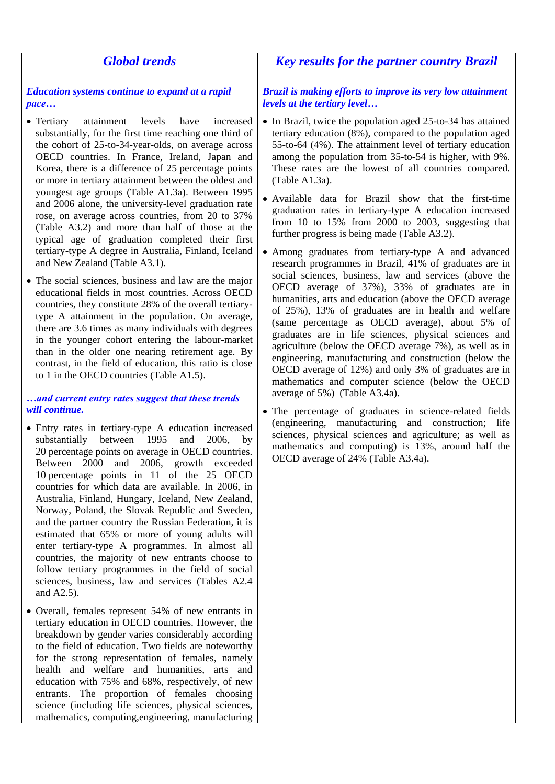| <b>Global trends</b>                                                                                                                                                                                                                                                                                                                                                                                                                                                                                                                                                                                                                                                                                                                                                                                                                                                                                                                                                                                                                                                                                                                                                                                                                                                                                                                                                                                                                                                                                                                                                                                                                                                                                                                                                                                                                                                                                                                                                                                                                                                                                                                  | <b>Key results for the partner country Brazil</b>                                                                                                                                                                                                                                                                                                                                                                                                                                                                                                                                                                                                                                                                                                                                                                                                                                                                                                                                                                                                                                                                                                                                                                                                                                                                                                                                                                                                                                                                                                         |
|---------------------------------------------------------------------------------------------------------------------------------------------------------------------------------------------------------------------------------------------------------------------------------------------------------------------------------------------------------------------------------------------------------------------------------------------------------------------------------------------------------------------------------------------------------------------------------------------------------------------------------------------------------------------------------------------------------------------------------------------------------------------------------------------------------------------------------------------------------------------------------------------------------------------------------------------------------------------------------------------------------------------------------------------------------------------------------------------------------------------------------------------------------------------------------------------------------------------------------------------------------------------------------------------------------------------------------------------------------------------------------------------------------------------------------------------------------------------------------------------------------------------------------------------------------------------------------------------------------------------------------------------------------------------------------------------------------------------------------------------------------------------------------------------------------------------------------------------------------------------------------------------------------------------------------------------------------------------------------------------------------------------------------------------------------------------------------------------------------------------------------------|-----------------------------------------------------------------------------------------------------------------------------------------------------------------------------------------------------------------------------------------------------------------------------------------------------------------------------------------------------------------------------------------------------------------------------------------------------------------------------------------------------------------------------------------------------------------------------------------------------------------------------------------------------------------------------------------------------------------------------------------------------------------------------------------------------------------------------------------------------------------------------------------------------------------------------------------------------------------------------------------------------------------------------------------------------------------------------------------------------------------------------------------------------------------------------------------------------------------------------------------------------------------------------------------------------------------------------------------------------------------------------------------------------------------------------------------------------------------------------------------------------------------------------------------------------------|
| Education systems continue to expand at a rapid<br>pace                                                                                                                                                                                                                                                                                                                                                                                                                                                                                                                                                                                                                                                                                                                                                                                                                                                                                                                                                                                                                                                                                                                                                                                                                                                                                                                                                                                                                                                                                                                                                                                                                                                                                                                                                                                                                                                                                                                                                                                                                                                                               | <b>Brazil is making efforts to improve its very low attainment</b><br>levels at the tertiary level                                                                                                                                                                                                                                                                                                                                                                                                                                                                                                                                                                                                                                                                                                                                                                                                                                                                                                                                                                                                                                                                                                                                                                                                                                                                                                                                                                                                                                                        |
| attainment<br>levels<br>$\bullet$ Tertiary<br>have<br>increased<br>substantially, for the first time reaching one third of<br>the cohort of 25-to-34-year-olds, on average across<br>OECD countries. In France, Ireland, Japan and<br>Korea, there is a difference of 25 percentage points<br>or more in tertiary attainment between the oldest and<br>youngest age groups (Table A1.3a). Between 1995<br>and 2006 alone, the university-level graduation rate<br>rose, on average across countries, from 20 to 37%<br>(Table A3.2) and more than half of those at the<br>typical age of graduation completed their first<br>tertiary-type A degree in Australia, Finland, Iceland<br>and New Zealand (Table A3.1).<br>• The social sciences, business and law are the major<br>educational fields in most countries. Across OECD<br>countries, they constitute 28% of the overall tertiary-<br>type A attainment in the population. On average,<br>there are 3.6 times as many individuals with degrees<br>in the younger cohort entering the labour-market<br>than in the older one nearing retirement age. By<br>contrast, in the field of education, this ratio is close<br>to 1 in the OECD countries (Table A1.5).<br>and current entry rates suggest that these trends<br>will continue.<br>• Entry rates in tertiary-type A education increased<br>between<br>substantially<br>2006,<br>1995<br>and<br>by<br>20 percentage points on average in OECD countries.<br>Between 2000 and 2006, growth exceeded<br>10 percentage points in 11 of the 25 OECD<br>countries for which data are available. In 2006, in<br>Australia, Finland, Hungary, Iceland, New Zealand,<br>Norway, Poland, the Slovak Republic and Sweden,<br>and the partner country the Russian Federation, it is<br>estimated that 65% or more of young adults will<br>enter tertiary-type A programmes. In almost all<br>countries, the majority of new entrants choose to<br>follow tertiary programmes in the field of social<br>sciences, business, law and services (Tables A2.4)<br>and $A2.5$ ).<br>• Overall, females represent 54% of new entrants in | • In Brazil, twice the population aged 25-to-34 has attained<br>tertiary education (8%), compared to the population aged<br>55-to-64 (4%). The attainment level of tertiary education<br>among the population from 35-to-54 is higher, with 9%.<br>These rates are the lowest of all countries compared.<br>$(Table A1.3a)$ .<br>• Available data for Brazil show that the first-time<br>graduation rates in tertiary-type A education increased<br>from 10 to $15\%$ from 2000 to 2003, suggesting that<br>further progress is being made (Table A3.2).<br>• Among graduates from tertiary-type A and advanced<br>research programmes in Brazil, 41% of graduates are in<br>social sciences, business, law and services (above the<br>OECD average of 37%), 33% of graduates are in<br>humanities, arts and education (above the OECD average<br>of 25%), 13% of graduates are in health and welfare<br>(same percentage as OECD average), about 5% of<br>graduates are in life sciences, physical sciences and<br>agriculture (below the OECD average 7%), as well as in<br>engineering, manufacturing and construction (below the<br>OECD average of 12%) and only 3% of graduates are in<br>mathematics and computer science (below the OECD<br>average of 5%) (Table A3.4a).<br>• The percentage of graduates in science-related fields<br>(engineering, manufacturing and construction; life<br>sciences, physical sciences and agriculture; as well as<br>mathematics and computing) is 13%, around half the<br>OECD average of 24% (Table A3.4a). |
| tertiary education in OECD countries. However, the<br>breakdown by gender varies considerably according<br>to the field of education. Two fields are noteworthy<br>for the strong representation of females, namely                                                                                                                                                                                                                                                                                                                                                                                                                                                                                                                                                                                                                                                                                                                                                                                                                                                                                                                                                                                                                                                                                                                                                                                                                                                                                                                                                                                                                                                                                                                                                                                                                                                                                                                                                                                                                                                                                                                   |                                                                                                                                                                                                                                                                                                                                                                                                                                                                                                                                                                                                                                                                                                                                                                                                                                                                                                                                                                                                                                                                                                                                                                                                                                                                                                                                                                                                                                                                                                                                                           |

health and welfare and humanities, arts and education with 75% and 68%, respectively, of new entrants. The proportion of females choosing science (including life sciences, physical sciences, mathematics, computing,engineering, manufacturing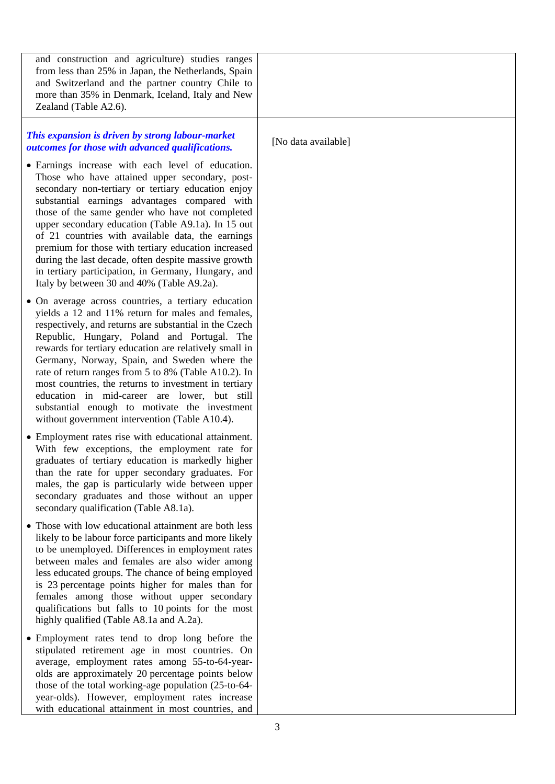| and construction and agriculture) studies ranges<br>from less than 25% in Japan, the Netherlands, Spain<br>and Switzerland and the partner country Chile to<br>more than 35% in Denmark, Iceland, Italy and New<br>Zealand (Table A2.6).                                                                                                                                                                                                                                                                                                                                                        |                     |
|-------------------------------------------------------------------------------------------------------------------------------------------------------------------------------------------------------------------------------------------------------------------------------------------------------------------------------------------------------------------------------------------------------------------------------------------------------------------------------------------------------------------------------------------------------------------------------------------------|---------------------|
| This expansion is driven by strong labour-market<br>outcomes for those with advanced qualifications.                                                                                                                                                                                                                                                                                                                                                                                                                                                                                            | [No data available] |
| • Earnings increase with each level of education.<br>Those who have attained upper secondary, post-<br>secondary non-tertiary or tertiary education enjoy<br>substantial earnings advantages compared with<br>those of the same gender who have not completed<br>upper secondary education (Table A9.1a). In 15 out<br>of 21 countries with available data, the earnings<br>premium for those with tertiary education increased<br>during the last decade, often despite massive growth<br>in tertiary participation, in Germany, Hungary, and<br>Italy by between 30 and 40% (Table A9.2a).    |                     |
| • On average across countries, a tertiary education<br>yields a 12 and 11% return for males and females,<br>respectively, and returns are substantial in the Czech<br>Republic, Hungary, Poland and Portugal. The<br>rewards for tertiary education are relatively small in<br>Germany, Norway, Spain, and Sweden where the<br>rate of return ranges from 5 to 8% (Table A10.2). In<br>most countries, the returns to investment in tertiary<br>education in mid-career are lower, but still<br>substantial enough to motivate the investment<br>without government intervention (Table A10.4). |                     |
| • Employment rates rise with educational attainment.<br>With few exceptions, the employment rate for<br>graduates of tertiary education is markedly higher<br>than the rate for upper secondary graduates. For<br>males, the gap is particularly wide between upper<br>secondary graduates and those without an upper<br>secondary qualification (Table A8.1a).                                                                                                                                                                                                                                 |                     |
| • Those with low educational attainment are both less<br>likely to be labour force participants and more likely<br>to be unemployed. Differences in employment rates<br>between males and females are also wider among<br>less educated groups. The chance of being employed<br>is 23 percentage points higher for males than for<br>females among those without upper secondary<br>qualifications but falls to 10 points for the most<br>highly qualified (Table A8.1a and A.2a).                                                                                                              |                     |
| • Employment rates tend to drop long before the<br>stipulated retirement age in most countries. On<br>average, employment rates among 55-to-64-year-<br>olds are approximately 20 percentage points below<br>those of the total working-age population (25-to-64-<br>year-olds). However, employment rates increase<br>with educational attainment in most countries, and                                                                                                                                                                                                                       |                     |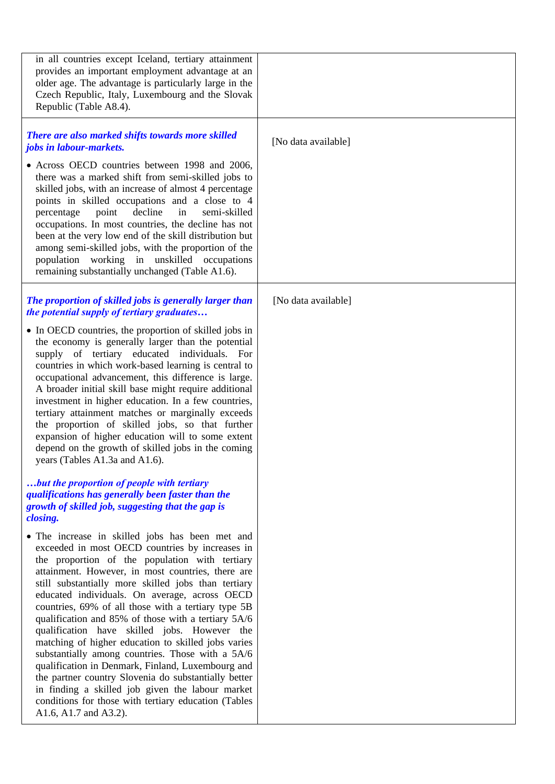| in all countries except Iceland, tertiary attainment<br>provides an important employment advantage at an<br>older age. The advantage is particularly large in the<br>Czech Republic, Italy, Luxembourg and the Slovak<br>Republic (Table A8.4).                                                                                                                                                                                                                                                                                                                                                                                                                                                                                                                                                                                                                                                                                                                                                                  |                     |
|------------------------------------------------------------------------------------------------------------------------------------------------------------------------------------------------------------------------------------------------------------------------------------------------------------------------------------------------------------------------------------------------------------------------------------------------------------------------------------------------------------------------------------------------------------------------------------------------------------------------------------------------------------------------------------------------------------------------------------------------------------------------------------------------------------------------------------------------------------------------------------------------------------------------------------------------------------------------------------------------------------------|---------------------|
| There are also marked shifts towards more skilled<br>jobs in labour-markets.<br>• Across OECD countries between 1998 and 2006,<br>there was a marked shift from semi-skilled jobs to<br>skilled jobs, with an increase of almost 4 percentage<br>points in skilled occupations and a close to 4<br>decline<br>percentage<br>point<br>in<br>semi-skilled<br>occupations. In most countries, the decline has not<br>been at the very low end of the skill distribution but<br>among semi-skilled jobs, with the proportion of the<br>population working in unskilled occupations<br>remaining substantially unchanged (Table A1.6).                                                                                                                                                                                                                                                                                                                                                                                | [No data available] |
| The proportion of skilled jobs is generally larger than<br>the potential supply of tertiary graduates<br>• In OECD countries, the proportion of skilled jobs in<br>the economy is generally larger than the potential<br>supply of tertiary educated individuals. For<br>countries in which work-based learning is central to<br>occupational advancement, this difference is large.<br>A broader initial skill base might require additional<br>investment in higher education. In a few countries,<br>tertiary attainment matches or marginally exceeds<br>the proportion of skilled jobs, so that further<br>expansion of higher education will to some extent<br>depend on the growth of skilled jobs in the coming<br>years (Tables A1.3a and A1.6).                                                                                                                                                                                                                                                        | [No data available] |
| but the proportion of people with tertiary<br>qualifications has generally been faster than the<br>growth of skilled job, suggesting that the gap is<br>closing.<br>• The increase in skilled jobs has been met and<br>exceeded in most OECD countries by increases in<br>the proportion of the population with tertiary<br>attainment. However, in most countries, there are<br>still substantially more skilled jobs than tertiary<br>educated individuals. On average, across OECD<br>countries, 69% of all those with a tertiary type 5B<br>qualification and 85% of those with a tertiary 5A/6<br>qualification have skilled jobs. However the<br>matching of higher education to skilled jobs varies<br>substantially among countries. Those with a 5A/6<br>qualification in Denmark, Finland, Luxembourg and<br>the partner country Slovenia do substantially better<br>in finding a skilled job given the labour market<br>conditions for those with tertiary education (Tables<br>A1.6, A1.7 and A3.2). |                     |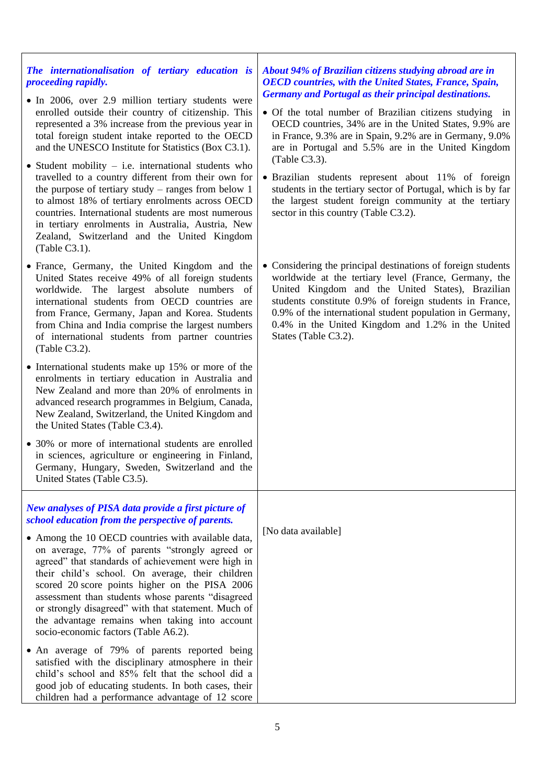| The internationalisation of tertiary education is<br>proceeding rapidly.<br>• In 2006, over 2.9 million tertiary students were<br>enrolled outside their country of citizenship. This<br>represented a 3% increase from the previous year in<br>total foreign student intake reported to the OECD<br>and the UNESCO Institute for Statistics (Box C3.1).<br>$\bullet$ Student mobility – i.e. international students who<br>travelled to a country different from their own for<br>the purpose of tertiary study $-$ ranges from below 1<br>to almost 18% of tertiary enrolments across OECD<br>countries. International students are most numerous<br>in tertiary enrolments in Australia, Austria, New<br>Zealand, Switzerland and the United Kingdom<br>(Table C3.1). | About 94% of Brazilian citizens studying abroad are in<br><b>OECD</b> countries, with the United States, France, Spain,<br><b>Germany and Portugal as their principal destinations.</b><br>• Of the total number of Brazilian citizens studying in<br>OECD countries, 34% are in the United States, 9.9% are<br>in France, 9.3% are in Spain, 9.2% are in Germany, 9.0%<br>are in Portugal and 5.5% are in the United Kingdom<br>(Table C3.3).<br>• Brazilian students represent about 11% of foreign<br>students in the tertiary sector of Portugal, which is by far<br>the largest student foreign community at the tertiary<br>sector in this country (Table C3.2). |
|--------------------------------------------------------------------------------------------------------------------------------------------------------------------------------------------------------------------------------------------------------------------------------------------------------------------------------------------------------------------------------------------------------------------------------------------------------------------------------------------------------------------------------------------------------------------------------------------------------------------------------------------------------------------------------------------------------------------------------------------------------------------------|------------------------------------------------------------------------------------------------------------------------------------------------------------------------------------------------------------------------------------------------------------------------------------------------------------------------------------------------------------------------------------------------------------------------------------------------------------------------------------------------------------------------------------------------------------------------------------------------------------------------------------------------------------------------|
| • France, Germany, the United Kingdom and the<br>United States receive 49% of all foreign students<br>worldwide. The largest absolute numbers of<br>international students from OECD countries are<br>from France, Germany, Japan and Korea. Students<br>from China and India comprise the largest numbers<br>of international students from partner countries<br>(Table C3.2).                                                                                                                                                                                                                                                                                                                                                                                          | • Considering the principal destinations of foreign students<br>worldwide at the tertiary level (France, Germany, the<br>United Kingdom and the United States), Brazilian<br>students constitute 0.9% of foreign students in France,<br>0.9% of the international student population in Germany,<br>0.4% in the United Kingdom and 1.2% in the United<br>States (Table C3.2).                                                                                                                                                                                                                                                                                          |
| • International students make up 15% or more of the<br>enrolments in tertiary education in Australia and<br>New Zealand and more than 20% of enrolments in<br>advanced research programmes in Belgium, Canada,<br>New Zealand, Switzerland, the United Kingdom and<br>the United States (Table C3.4).                                                                                                                                                                                                                                                                                                                                                                                                                                                                    |                                                                                                                                                                                                                                                                                                                                                                                                                                                                                                                                                                                                                                                                        |
| • 30% or more of international students are enrolled<br>in sciences, agriculture or engineering in Finland,<br>Germany, Hungary, Sweden, Switzerland and the<br>United States (Table C3.5).                                                                                                                                                                                                                                                                                                                                                                                                                                                                                                                                                                              |                                                                                                                                                                                                                                                                                                                                                                                                                                                                                                                                                                                                                                                                        |
| New analyses of PISA data provide a first picture of<br>school education from the perspective of parents.                                                                                                                                                                                                                                                                                                                                                                                                                                                                                                                                                                                                                                                                |                                                                                                                                                                                                                                                                                                                                                                                                                                                                                                                                                                                                                                                                        |
| • Among the 10 OECD countries with available data,<br>on average, 77% of parents "strongly agreed or<br>agreed" that standards of achievement were high in<br>their child's school. On average, their children<br>scored 20 score points higher on the PISA 2006<br>assessment than students whose parents "disagreed<br>or strongly disagreed" with that statement. Much of<br>the advantage remains when taking into account<br>socio-economic factors (Table A6.2).                                                                                                                                                                                                                                                                                                   | [No data available]                                                                                                                                                                                                                                                                                                                                                                                                                                                                                                                                                                                                                                                    |
| • An average of 79% of parents reported being<br>satisfied with the disciplinary atmosphere in their<br>child's school and 85% felt that the school did a<br>good job of educating students. In both cases, their<br>children had a performance advantage of 12 score                                                                                                                                                                                                                                                                                                                                                                                                                                                                                                    |                                                                                                                                                                                                                                                                                                                                                                                                                                                                                                                                                                                                                                                                        |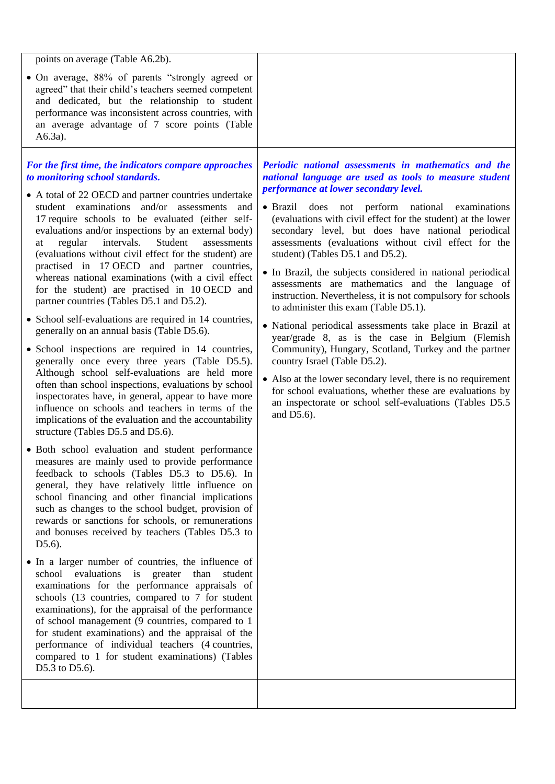| points on average (Table A6.2b).                                                                                                                                                                                                                                                                                                                                                                                                                                                                                                                                                                                                                                                                                                                                                                                                                                                                                                                                                                                                                                                                                                                                                                                                                                                                                                                                                                                                                                                                                                                                                                                                                                                                                                                                                                                                                                                                                                                                                                                                                                                                                                      |                                                                                                                                                                                                                                                                                                                                                                                                                                                                                                                                                                                                                                                                                                                                                                                                                                                                                                                                                                                                                                                                         |
|---------------------------------------------------------------------------------------------------------------------------------------------------------------------------------------------------------------------------------------------------------------------------------------------------------------------------------------------------------------------------------------------------------------------------------------------------------------------------------------------------------------------------------------------------------------------------------------------------------------------------------------------------------------------------------------------------------------------------------------------------------------------------------------------------------------------------------------------------------------------------------------------------------------------------------------------------------------------------------------------------------------------------------------------------------------------------------------------------------------------------------------------------------------------------------------------------------------------------------------------------------------------------------------------------------------------------------------------------------------------------------------------------------------------------------------------------------------------------------------------------------------------------------------------------------------------------------------------------------------------------------------------------------------------------------------------------------------------------------------------------------------------------------------------------------------------------------------------------------------------------------------------------------------------------------------------------------------------------------------------------------------------------------------------------------------------------------------------------------------------------------------|-------------------------------------------------------------------------------------------------------------------------------------------------------------------------------------------------------------------------------------------------------------------------------------------------------------------------------------------------------------------------------------------------------------------------------------------------------------------------------------------------------------------------------------------------------------------------------------------------------------------------------------------------------------------------------------------------------------------------------------------------------------------------------------------------------------------------------------------------------------------------------------------------------------------------------------------------------------------------------------------------------------------------------------------------------------------------|
| • On average, 88% of parents "strongly agreed or<br>agreed" that their child's teachers seemed competent<br>and dedicated, but the relationship to student<br>performance was inconsistent across countries, with<br>an average advantage of 7 score points (Table<br>$A6.3a$ ).                                                                                                                                                                                                                                                                                                                                                                                                                                                                                                                                                                                                                                                                                                                                                                                                                                                                                                                                                                                                                                                                                                                                                                                                                                                                                                                                                                                                                                                                                                                                                                                                                                                                                                                                                                                                                                                      |                                                                                                                                                                                                                                                                                                                                                                                                                                                                                                                                                                                                                                                                                                                                                                                                                                                                                                                                                                                                                                                                         |
| For the first time, the indicators compare approaches<br>to monitoring school standards.<br>• A total of 22 OECD and partner countries undertake<br>student examinations<br>and/or assessments<br>and<br>17 require schools to be evaluated (either self-<br>evaluations and/or inspections by an external body)<br>regular<br>intervals.<br>Student<br>assessments<br>at<br>(evaluations without civil effect for the student) are<br>practised in 17 OECD and partner countries,<br>whereas national examinations (with a civil effect<br>for the student) are practised in 10 OECD and<br>partner countries (Tables D5.1 and D5.2).<br>• School self-evaluations are required in 14 countries,<br>generally on an annual basis (Table D5.6).<br>• School inspections are required in 14 countries,<br>generally once every three years (Table D5.5).<br>Although school self-evaluations are held more<br>often than school inspections, evaluations by school<br>inspectorates have, in general, appear to have more<br>influence on schools and teachers in terms of the<br>implications of the evaluation and the accountability<br>structure (Tables D5.5 and D5.6).<br>• Both school evaluation and student performance<br>measures are mainly used to provide performance<br>feedback to schools (Tables D5.3 to D5.6). In<br>general, they have relatively little influence on<br>school financing and other financial implications<br>such as changes to the school budget, provision of<br>rewards or sanctions for schools, or remunerations<br>and bonuses received by teachers (Tables D5.3 to<br>$D5.6$ ).<br>• In a larger number of countries, the influence of<br>school evaluations is greater<br>than<br>student<br>examinations for the performance appraisals of<br>schools (13 countries, compared to 7 for student<br>examinations), for the appraisal of the performance<br>of school management (9 countries, compared to 1<br>for student examinations) and the appraisal of the<br>performance of individual teachers (4 countries,<br>compared to 1 for student examinations) (Tables<br>D5.3 to D5.6). | Periodic national assessments in mathematics and the<br>national language are used as tools to measure student<br>performance at lower secondary level.<br>· Brazil does not perform national examinations<br>(evaluations with civil effect for the student) at the lower<br>secondary level, but does have national periodical<br>assessments (evaluations without civil effect for the<br>student) (Tables D5.1 and D5.2).<br>• In Brazil, the subjects considered in national periodical<br>assessments are mathematics and the language of<br>instruction. Nevertheless, it is not compulsory for schools<br>to administer this exam (Table D5.1).<br>• National periodical assessments take place in Brazil at<br>year/grade 8, as is the case in Belgium (Flemish<br>Community), Hungary, Scotland, Turkey and the partner<br>country Israel (Table D5.2).<br>• Also at the lower secondary level, there is no requirement<br>for school evaluations, whether these are evaluations by<br>an inspectorate or school self-evaluations (Tables D5.5)<br>and D5.6). |
|                                                                                                                                                                                                                                                                                                                                                                                                                                                                                                                                                                                                                                                                                                                                                                                                                                                                                                                                                                                                                                                                                                                                                                                                                                                                                                                                                                                                                                                                                                                                                                                                                                                                                                                                                                                                                                                                                                                                                                                                                                                                                                                                       |                                                                                                                                                                                                                                                                                                                                                                                                                                                                                                                                                                                                                                                                                                                                                                                                                                                                                                                                                                                                                                                                         |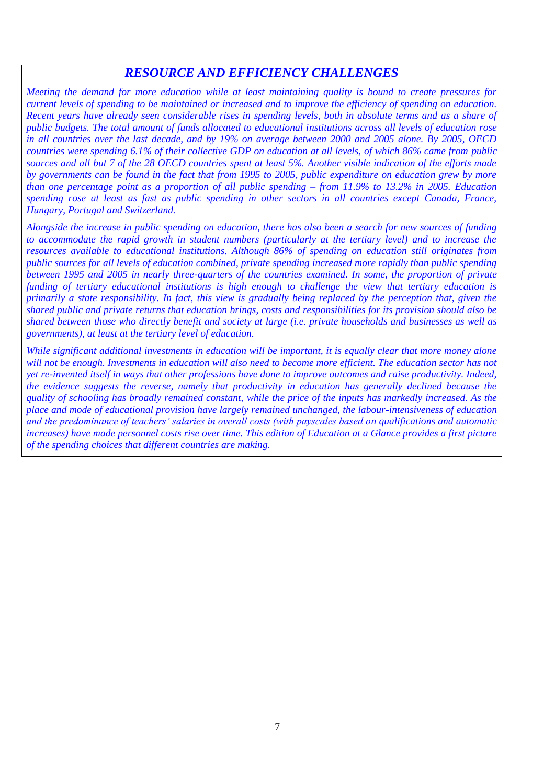### *RESOURCE AND EFFICIENCY CHALLENGES*

*Meeting the demand for more education while at least maintaining quality is bound to create pressures for current levels of spending to be maintained or increased and to improve the efficiency of spending on education. Recent years have already seen considerable rises in spending levels, both in absolute terms and as a share of public budgets. The total amount of funds allocated to educational institutions across all levels of education rose in all countries over the last decade, and by 19% on average between 2000 and 2005 alone. By 2005, OECD countries were spending 6.1% of their collective GDP on education at all levels, of which 86% came from public sources and all but 7 of the 28 OECD countries spent at least 5%. Another visible indication of the efforts made by governments can be found in the fact that from 1995 to 2005, public expenditure on education grew by more than one percentage point as a proportion of all public spending – from 11.9% to 13.2% in 2005. Education spending rose at least as fast as public spending in other sectors in all countries except Canada, France, Hungary, Portugal and Switzerland.*

*Alongside the increase in public spending on education, there has also been a search for new sources of funding to accommodate the rapid growth in student numbers (particularly at the tertiary level) and to increase the resources available to educational institutions. Although 86% of spending on education still originates from public sources for all levels of education combined, private spending increased more rapidly than public spending between 1995 and 2005 in nearly three-quarters of the countries examined. In some, the proportion of private funding of tertiary educational institutions is high enough to challenge the view that tertiary education is primarily a state responsibility. In fact, this view is gradually being replaced by the perception that, given the shared public and private returns that education brings, costs and responsibilities for its provision should also be shared between those who directly benefit and society at large (i.e. private households and businesses as well as governments), at least at the tertiary level of education.*

*While significant additional investments in education will be important, it is equally clear that more money alone*  will not be enough. Investments in education will also need to become more efficient. The education sector has not *yet re-invented itself in ways that other professions have done to improve outcomes and raise productivity. Indeed, the evidence suggests the reverse, namely that productivity in education has generally declined because the quality of schooling has broadly remained constant, while the price of the inputs has markedly increased. As the place and mode of educational provision have largely remained unchanged, the labour-intensiveness of education and the predominance of teachers' salaries in overall costs (with payscales based on qualifications and automatic increases) have made personnel costs rise over time. This edition of Education at a Glance provides a first picture of the spending choices that different countries are making.*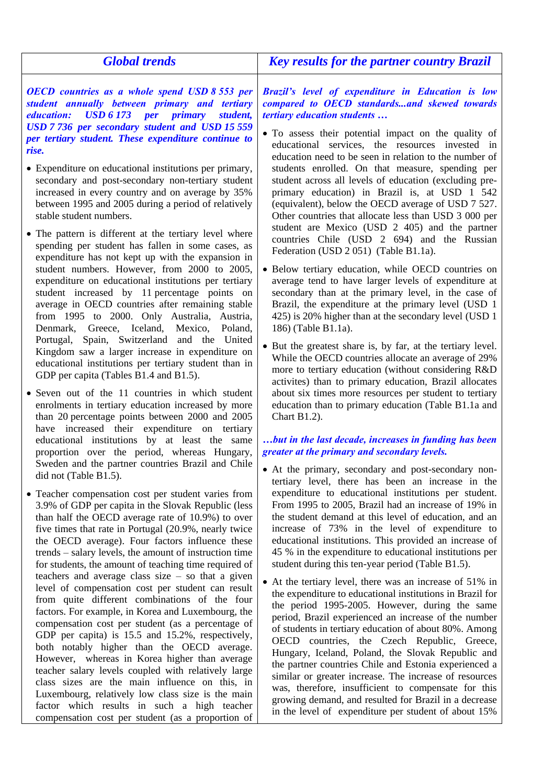| <b>Global trends</b>                                                                                                                                                                                                                                                                                                                                                                                                                                                                                                                                                                                                                                                                                                                                                                                                                                                                                                               | <b>Key results for the partner country Brazil</b>                                                                                                                                                                                                                                                                                                                                                                                                                                                                                                                                                                                                                                                                                                                                                                                                                                                                                                                          |
|------------------------------------------------------------------------------------------------------------------------------------------------------------------------------------------------------------------------------------------------------------------------------------------------------------------------------------------------------------------------------------------------------------------------------------------------------------------------------------------------------------------------------------------------------------------------------------------------------------------------------------------------------------------------------------------------------------------------------------------------------------------------------------------------------------------------------------------------------------------------------------------------------------------------------------|----------------------------------------------------------------------------------------------------------------------------------------------------------------------------------------------------------------------------------------------------------------------------------------------------------------------------------------------------------------------------------------------------------------------------------------------------------------------------------------------------------------------------------------------------------------------------------------------------------------------------------------------------------------------------------------------------------------------------------------------------------------------------------------------------------------------------------------------------------------------------------------------------------------------------------------------------------------------------|
| <b>OECD</b> countries as a whole spend USD 8 553 per<br>student annually between primary and tertiary<br><i>education:</i><br>USD 6173 per primary<br>student,<br>USD 7 736 per secondary student and USD 15 559<br>per tertiary student. These expenditure continue to<br>rise.<br>• Expenditure on educational institutions per primary,<br>secondary and post-secondary non-tertiary student<br>increased in every country and on average by 35%<br>between 1995 and 2005 during a period of relatively<br>stable student numbers.                                                                                                                                                                                                                                                                                                                                                                                              | Brazil's level of expenditure in Education is low<br>compared to OECD standardsand skewed towards<br><i>tertiary education students </i><br>• To assess their potential impact on the quality of<br>educational services, the resources invested in<br>education need to be seen in relation to the number of<br>students enrolled. On that measure, spending per<br>student across all levels of education (excluding pre-<br>primary education) in Brazil is, at USD 1 542<br>(equivalent), below the OECD average of USD 7 527.<br>Other countries that allocate less than USD 3 000 per                                                                                                                                                                                                                                                                                                                                                                                |
| • The pattern is different at the tertiary level where<br>spending per student has fallen in some cases, as<br>expenditure has not kept up with the expansion in<br>student numbers. However, from 2000 to 2005,<br>expenditure on educational institutions per tertiary<br>student increased by 11 percentage points on<br>average in OECD countries after remaining stable<br>from 1995 to 2000. Only Australia, Austria,<br>Denmark, Greece, Iceland, Mexico, Poland,<br>Portugal, Spain, Switzerland and the United<br>Kingdom saw a larger increase in expenditure on<br>educational institutions per tertiary student than in<br>GDP per capita (Tables B1.4 and B1.5).<br>• Seven out of the 11 countries in which student                                                                                                                                                                                                  | student are Mexico (USD 2 405) and the partner<br>countries Chile (USD 2 694) and the Russian<br>Federation (USD 2 051) (Table B1.1a).<br>• Below tertiary education, while OECD countries on<br>average tend to have larger levels of expenditure at<br>secondary than at the primary level, in the case of<br>Brazil, the expenditure at the primary level (USD 1<br>425) is 20% higher than at the secondary level (USD 1<br>186) (Table B1.1a).<br>• But the greatest share is, by far, at the tertiary level.<br>While the OECD countries allocate an average of 29%<br>more to tertiary education (without considering R&D<br>activites) than to primary education, Brazil allocates<br>about six times more resources per student to tertiary                                                                                                                                                                                                                       |
| enrolments in tertiary education increased by more<br>than 20 percentage points between 2000 and 2005<br>have increased their expenditure on tertiary<br>educational institutions by at least the same<br>proportion over the period, whereas Hungary,<br>Sweden and the partner countries Brazil and Chile<br>did not (Table B1.5).                                                                                                                                                                                                                                                                                                                                                                                                                                                                                                                                                                                               | education than to primary education (Table B1.1a and<br>Chart $B1.2$ ).<br>but in the last decade, increases in funding has been<br>greater at the primary and secondary levels.<br>• At the primary, secondary and post-secondary non-<br>tertiary level, there has been an increase in the                                                                                                                                                                                                                                                                                                                                                                                                                                                                                                                                                                                                                                                                               |
| • Teacher compensation cost per student varies from<br>3.9% of GDP per capita in the Slovak Republic (less<br>than half the OECD average rate of 10.9%) to over<br>five times that rate in Portugal (20.9%, nearly twice<br>the OECD average). Four factors influence these<br>trends – salary levels, the amount of instruction time<br>for students, the amount of teaching time required of<br>teachers and average class size $-$ so that a given<br>level of compensation cost per student can result<br>from quite different combinations of the four<br>factors. For example, in Korea and Luxembourg, the<br>compensation cost per student (as a percentage of<br>GDP per capita) is 15.5 and 15.2%, respectively,<br>both notably higher than the OECD average.<br>However, whereas in Korea higher than average<br>teacher salary levels coupled with relatively large<br>class sizes are the main influence on this, in | expenditure to educational institutions per student.<br>From 1995 to 2005, Brazil had an increase of 19% in<br>the student demand at this level of education, and an<br>increase of 73% in the level of expenditure to<br>educational institutions. This provided an increase of<br>45 % in the expenditure to educational institutions per<br>student during this ten-year period (Table B1.5).<br>• At the tertiary level, there was an increase of 51% in<br>the expenditure to educational institutions in Brazil for<br>the period 1995-2005. However, during the same<br>period, Brazil experienced an increase of the number<br>of students in tertiary education of about 80%. Among<br>OECD countries, the Czech Republic, Greece,<br>Hungary, Iceland, Poland, the Slovak Republic and<br>the partner countries Chile and Estonia experienced a<br>similar or greater increase. The increase of resources<br>was, therefore, insufficient to compensate for this |
| Luxembourg, relatively low class size is the main<br>factor which results in such a high teacher<br>compensation cost per student (as a proportion of                                                                                                                                                                                                                                                                                                                                                                                                                                                                                                                                                                                                                                                                                                                                                                              | growing demand, and resulted for Brazil in a decrease<br>in the level of expenditure per student of about 15%                                                                                                                                                                                                                                                                                                                                                                                                                                                                                                                                                                                                                                                                                                                                                                                                                                                              |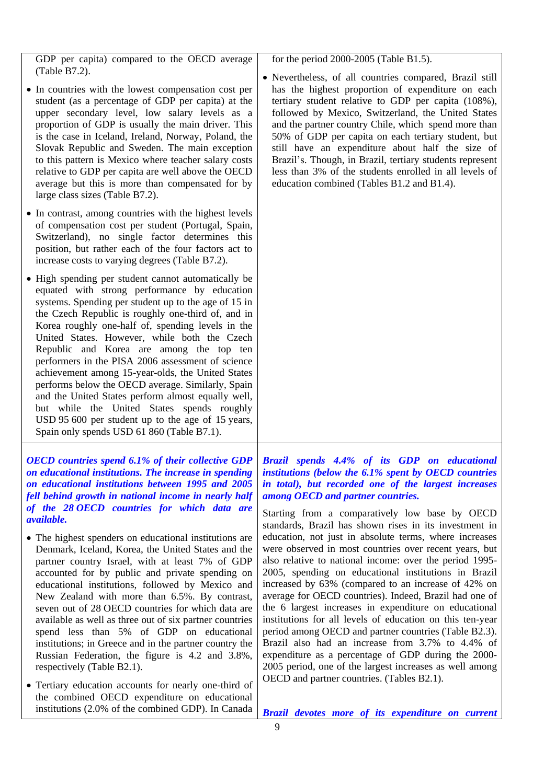9 • In countries with the lowest compensation cost per student (as a percentage of GDP per capita) at the upper secondary level, low salary levels as a proportion of GDP is usually the main driver. This is the case in Iceland, Ireland, Norway, Poland, the Slovak Republic and Sweden. The main exception to this pattern is Mexico where teacher salary costs relative to GDP per capita are well above the OECD average but this is more than compensated for by large class sizes (Table B7.2). • In contrast, among countries with the highest levels of compensation cost per student (Portugal, Spain, Switzerland), no single factor determines this position, but rather each of the four factors act to increase costs to varying degrees (Table B7.2). • High spending per student cannot automatically be equated with strong performance by education systems. Spending per student up to the age of 15 in the Czech Republic is roughly one-third of, and in Korea roughly one-half of, spending levels in the United States. However, while both the Czech Republic and Korea are among the top ten performers in the PISA 2006 assessment of science achievement among 15-year-olds, the United States performs below the OECD average. Similarly, Spain and the United States perform almost equally well, but while the United States spends roughly USD 95 600 per student up to the age of 15 years, Spain only spends USD 61 860 (Table B7.1). has the highest proportion of expenditure on each tertiary student relative to GDP per capita (108%), followed by Mexico, Switzerland, the United States and the partner country Chile, which spend more than 50% of GDP per capita on each tertiary student, but still have an expenditure about half the size of Brazil's. Though, in Brazil, tertiary students represent less than 3% of the students enrolled in all levels of education combined (Tables B1.2 and B1.4). *OECD countries spend 6.1% of their collective GDP on educational institutions. The increase in spending on educational institutions between 1995 and 2005 fell behind growth in national income in nearly half of the 28 OECD countries for which data are available.* • The highest spenders on educational institutions are Denmark, Iceland, Korea, the United States and the partner country Israel, with at least 7% of GDP accounted for by public and private spending on educational institutions, followed by Mexico and New Zealand with more than 6.5%. By contrast, seven out of 28 OECD countries for which data are available as well as three out of six partner countries spend less than 5% of GDP on educational institutions; in Greece and in the partner country the Russian Federation, the figure is 4.2 and 3.8%, respectively (Table B2.1). Tertiary education accounts for nearly one-third of the combined OECD expenditure on educational institutions (2.0% of the combined GDP). In Canada *Brazil spends 4.4% of its GDP on educational institutions (below the 6.1% spent by OECD countries in total), but recorded one of the largest increases among OECD and partner countries.*  Starting from a comparatively low base by OECD standards, Brazil has shown rises in its investment in education, not just in absolute terms, where increases were observed in most countries over recent years, but also relative to national income: over the period 1995- 2005, spending on educational institutions in Brazil increased by 63% (compared to an increase of 42% on average for OECD countries). Indeed, Brazil had one of the 6 largest increases in expenditure on educational institutions for all levels of education on this ten-year period among OECD and partner countries (Table B2.3). Brazil also had an increase from 3.7% to 4.4% of expenditure as a percentage of GDP during the 2000- 2005 period, one of the largest increases as well among OECD and partner countries. (Tables B2.1). *Brazil devotes more of its expenditure on current* 

for the period 2000-2005 (Table B1.5).

Nevertheless, of all countries compared, Brazil still

GDP per capita) compared to the OECD average

(Table B7.2).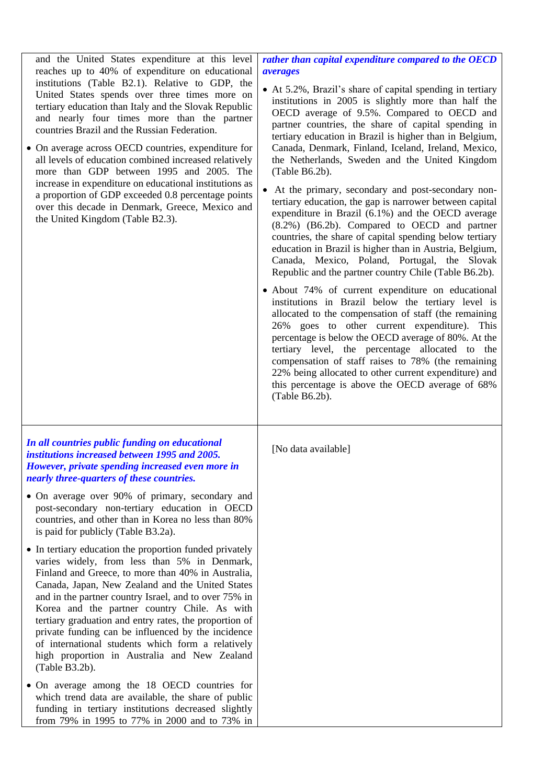| and the United States expenditure at this level<br>reaches up to 40% of expenditure on educational<br>institutions (Table B2.1). Relative to GDP, the<br>United States spends over three times more on<br>tertiary education than Italy and the Slovak Republic<br>and nearly four times more than the partner<br>countries Brazil and the Russian Federation.<br>• On average across OECD countries, expenditure for<br>all levels of education combined increased relatively<br>more than GDP between 1995 and 2005. The<br>increase in expenditure on educational institutions as<br>a proportion of GDP exceeded 0.8 percentage points<br>over this decade in Denmark, Greece, Mexico and<br>the United Kingdom (Table B2.3). | rather than capital expenditure compared to the OECD<br><i>averages</i><br>• At 5.2%, Brazil's share of capital spending in tertiary<br>institutions in 2005 is slightly more than half the<br>OECD average of 9.5%. Compared to OECD and<br>partner countries, the share of capital spending in<br>tertiary education in Brazil is higher than in Belgium,<br>Canada, Denmark, Finland, Iceland, Ireland, Mexico,<br>the Netherlands, Sweden and the United Kingdom<br>(Table B6.2b).<br>At the primary, secondary and post-secondary non-<br>tertiary education, the gap is narrower between capital<br>expenditure in Brazil (6.1%) and the OECD average<br>(8.2%) (B6.2b). Compared to OECD and partner<br>countries, the share of capital spending below tertiary<br>education in Brazil is higher than in Austria, Belgium,<br>Canada, Mexico, Poland, Portugal, the Slovak<br>Republic and the partner country Chile (Table B6.2b).<br>• About 74% of current expenditure on educational<br>institutions in Brazil below the tertiary level is<br>allocated to the compensation of staff (the remaining<br>26% goes to other current expenditure). This<br>percentage is below the OECD average of 80%. At the<br>tertiary level, the percentage allocated to the<br>compensation of staff raises to 78% (the remaining<br>22% being allocated to other current expenditure) and<br>this percentage is above the OECD average of 68%<br>(Table B6.2b). |
|-----------------------------------------------------------------------------------------------------------------------------------------------------------------------------------------------------------------------------------------------------------------------------------------------------------------------------------------------------------------------------------------------------------------------------------------------------------------------------------------------------------------------------------------------------------------------------------------------------------------------------------------------------------------------------------------------------------------------------------|---------------------------------------------------------------------------------------------------------------------------------------------------------------------------------------------------------------------------------------------------------------------------------------------------------------------------------------------------------------------------------------------------------------------------------------------------------------------------------------------------------------------------------------------------------------------------------------------------------------------------------------------------------------------------------------------------------------------------------------------------------------------------------------------------------------------------------------------------------------------------------------------------------------------------------------------------------------------------------------------------------------------------------------------------------------------------------------------------------------------------------------------------------------------------------------------------------------------------------------------------------------------------------------------------------------------------------------------------------------------------------------------------------------------------------------------------------------|
| In all countries public funding on educational<br>institutions increased between 1995 and 2005.<br>However, private spending increased even more in<br>nearly three-quarters of these countries.                                                                                                                                                                                                                                                                                                                                                                                                                                                                                                                                  | [No data available]                                                                                                                                                                                                                                                                                                                                                                                                                                                                                                                                                                                                                                                                                                                                                                                                                                                                                                                                                                                                                                                                                                                                                                                                                                                                                                                                                                                                                                           |
| • On average over 90% of primary, secondary and<br>post-secondary non-tertiary education in OECD<br>countries, and other than in Korea no less than 80%<br>is paid for publicly (Table B3.2a).                                                                                                                                                                                                                                                                                                                                                                                                                                                                                                                                    |                                                                                                                                                                                                                                                                                                                                                                                                                                                                                                                                                                                                                                                                                                                                                                                                                                                                                                                                                                                                                                                                                                                                                                                                                                                                                                                                                                                                                                                               |
| • In tertiary education the proportion funded privately<br>varies widely, from less than 5% in Denmark,<br>Finland and Greece, to more than 40% in Australia,<br>Canada, Japan, New Zealand and the United States<br>and in the partner country Israel, and to over 75% in<br>Korea and the partner country Chile. As with<br>tertiary graduation and entry rates, the proportion of<br>private funding can be influenced by the incidence<br>of international students which form a relatively<br>high proportion in Australia and New Zealand<br>(Table B3.2b).                                                                                                                                                                 |                                                                                                                                                                                                                                                                                                                                                                                                                                                                                                                                                                                                                                                                                                                                                                                                                                                                                                                                                                                                                                                                                                                                                                                                                                                                                                                                                                                                                                                               |
| • On average among the 18 OECD countries for<br>which trend data are available, the share of public<br>funding in tertiary institutions decreased slightly<br>from 79% in 1995 to 77% in 2000 and to 73% in                                                                                                                                                                                                                                                                                                                                                                                                                                                                                                                       |                                                                                                                                                                                                                                                                                                                                                                                                                                                                                                                                                                                                                                                                                                                                                                                                                                                                                                                                                                                                                                                                                                                                                                                                                                                                                                                                                                                                                                                               |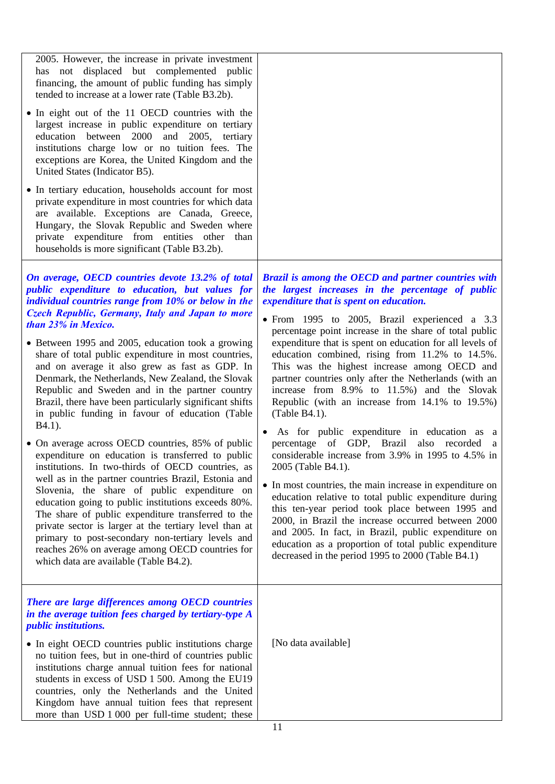| 2005. However, the increase in private investment<br>has not displaced but complemented public<br>financing, the amount of public funding has simply<br>tended to increase at a lower rate (Table B3.2b).<br>• In eight out of the 11 OECD countries with the<br>largest increase in public expenditure on tertiary<br>education between 2000<br>and 2005, tertiary<br>institutions charge low or no tuition fees. The<br>exceptions are Korea, the United Kingdom and the<br>United States (Indicator B5).<br>• In tertiary education, households account for most<br>private expenditure in most countries for which data<br>are available. Exceptions are Canada, Greece,<br>Hungary, the Slovak Republic and Sweden where<br>private expenditure from entities other<br>than<br>households is more significant (Table B3.2b).                                                                                                                                                                                                                                                                                                                                                                                                             |                                                                                                                                                                                                                                                                                                                                                                                                                                                                                                                                                                                                                                                                                                                                                                                                                                                                                                                                                                                                                                                                                                                                                                                          |
|-----------------------------------------------------------------------------------------------------------------------------------------------------------------------------------------------------------------------------------------------------------------------------------------------------------------------------------------------------------------------------------------------------------------------------------------------------------------------------------------------------------------------------------------------------------------------------------------------------------------------------------------------------------------------------------------------------------------------------------------------------------------------------------------------------------------------------------------------------------------------------------------------------------------------------------------------------------------------------------------------------------------------------------------------------------------------------------------------------------------------------------------------------------------------------------------------------------------------------------------------|------------------------------------------------------------------------------------------------------------------------------------------------------------------------------------------------------------------------------------------------------------------------------------------------------------------------------------------------------------------------------------------------------------------------------------------------------------------------------------------------------------------------------------------------------------------------------------------------------------------------------------------------------------------------------------------------------------------------------------------------------------------------------------------------------------------------------------------------------------------------------------------------------------------------------------------------------------------------------------------------------------------------------------------------------------------------------------------------------------------------------------------------------------------------------------------|
| On average, OECD countries devote 13.2% of total<br>public expenditure to education, but values for<br>individual countries range from 10% or below in the<br><b>Czech Republic, Germany, Italy and Japan to more</b><br>than 23% in Mexico.<br>• Between 1995 and 2005, education took a growing<br>share of total public expenditure in most countries,<br>and on average it also grew as fast as GDP. In<br>Denmark, the Netherlands, New Zealand, the Slovak<br>Republic and Sweden and in the partner country<br>Brazil, there have been particularly significant shifts<br>in public funding in favour of education (Table<br>$B4.1$ ).<br>• On average across OECD countries, 85% of public<br>expenditure on education is transferred to public<br>institutions. In two-thirds of OECD countries, as<br>well as in the partner countries Brazil, Estonia and<br>Slovenia, the share of public expenditure on<br>education going to public institutions exceeds 80%.<br>The share of public expenditure transferred to the<br>private sector is larger at the tertiary level than at<br>primary to post-secondary non-tertiary levels and<br>reaches 26% on average among OECD countries for<br>which data are available (Table B4.2). | Brazil is among the OECD and partner countries with<br>the largest increases in the percentage of public<br>expenditure that is spent on education.<br>• From 1995 to 2005, Brazil experienced a 3.3<br>percentage point increase in the share of total public<br>expenditure that is spent on education for all levels of<br>education combined, rising from 11.2% to 14.5%.<br>This was the highest increase among OECD and<br>partner countries only after the Netherlands (with an<br>increase from 8.9% to 11.5%) and the Slovak<br>Republic (with an increase from 14.1% to 19.5%)<br>(Table B4.1).<br>As for public expenditure in education as a<br>percentage of GDP, Brazil also recorded<br>a<br>considerable increase from 3.9% in 1995 to 4.5% in<br>2005 (Table B4.1).<br>• In most countries, the main increase in expenditure on<br>education relative to total public expenditure during<br>this ten-year period took place between 1995 and<br>2000, in Brazil the increase occurred between 2000<br>and 2005. In fact, in Brazil, public expenditure on<br>education as a proportion of total public expenditure<br>decreased in the period 1995 to 2000 (Table B4.1) |
| There are large differences among OECD countries<br>in the average tuition fees charged by tertiary-type A<br><i>public institutions.</i><br>• In eight OECD countries public institutions charge<br>no tuition fees, but in one-third of countries public<br>institutions charge annual tuition fees for national<br>students in excess of USD 1 500. Among the EU19<br>countries, only the Netherlands and the United<br>Kingdom have annual tuition fees that represent<br>more than USD 1 000 per full-time student; these                                                                                                                                                                                                                                                                                                                                                                                                                                                                                                                                                                                                                                                                                                                | [No data available]<br>11                                                                                                                                                                                                                                                                                                                                                                                                                                                                                                                                                                                                                                                                                                                                                                                                                                                                                                                                                                                                                                                                                                                                                                |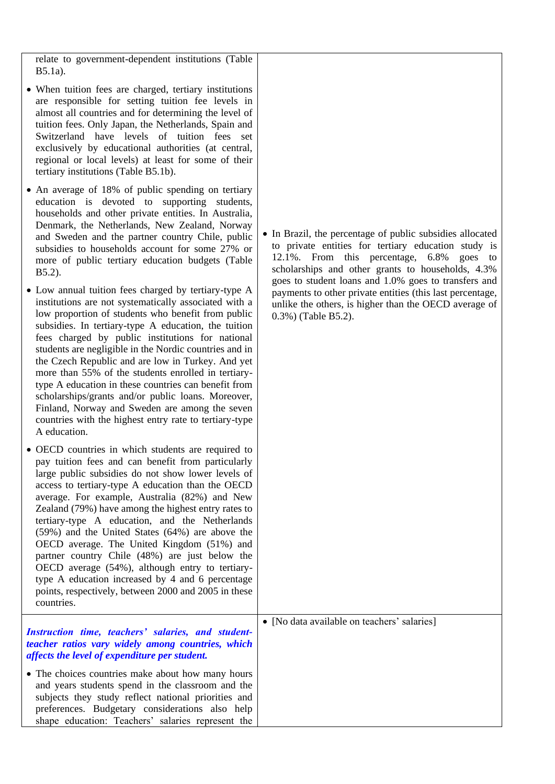relate to government-dependent institutions (Table B5.1a).

- When tuition fees are charged, tertiary institutions are responsible for setting tuition fee levels in almost all countries and for determining the level of tuition fees. Only Japan, the Netherlands, Spain and Switzerland have levels of tuition fees set exclusively by educational authorities (at central, regional or local levels) at least for some of their tertiary institutions (Table B5.1b).
- An average of 18% of public spending on tertiary education is devoted to supporting students, households and other private entities. In Australia, Denmark, the Netherlands, New Zealand, Norway and Sweden and the partner country Chile, public subsidies to households account for some 27% or more of public tertiary education budgets (Table B5.2).
- Low annual tuition fees charged by tertiary-type A institutions are not systematically associated with a low proportion of students who benefit from public subsidies. In tertiary-type A education, the tuition fees charged by public institutions for national students are negligible in the Nordic countries and in the Czech Republic and are low in Turkey. And yet more than 55% of the students enrolled in tertiarytype A education in these countries can benefit from scholarships/grants and/or public loans. Moreover, Finland, Norway and Sweden are among the seven countries with the highest entry rate to tertiary-type A education.
- OECD countries in which students are required to pay tuition fees and can benefit from particularly large public subsidies do not show lower levels of access to tertiary-type A education than the OECD average. For example, Australia (82%) and New Zealand (79%) have among the highest entry rates to tertiary-type A education, and the Netherlands (59%) and the United States (64%) are above the OECD average. The United Kingdom (51%) and partner country Chile (48%) are just below the OECD average (54%), although entry to tertiarytype A education increased by 4 and 6 percentage points, respectively, between 2000 and 2005 in these countries.

#### *Instruction time, teachers' salaries, and studentteacher ratios vary widely among countries, which affects the level of expenditure per student.*

• The choices countries make about how many hours and years students spend in the classroom and the subjects they study reflect national priorities and preferences. Budgetary considerations also help shape education: Teachers' salaries represent the • In Brazil, the percentage of public subsidies allocated to private entities for tertiary education study is 12.1%. From this percentage, 6.8% goes to scholarships and other grants to households, 4.3% goes to student loans and 1.0% goes to transfers and payments to other private entities (this last percentage, unlike the others, is higher than the OECD average of 0.3%) (Table B5.2).

• [No data available on teachers' salaries]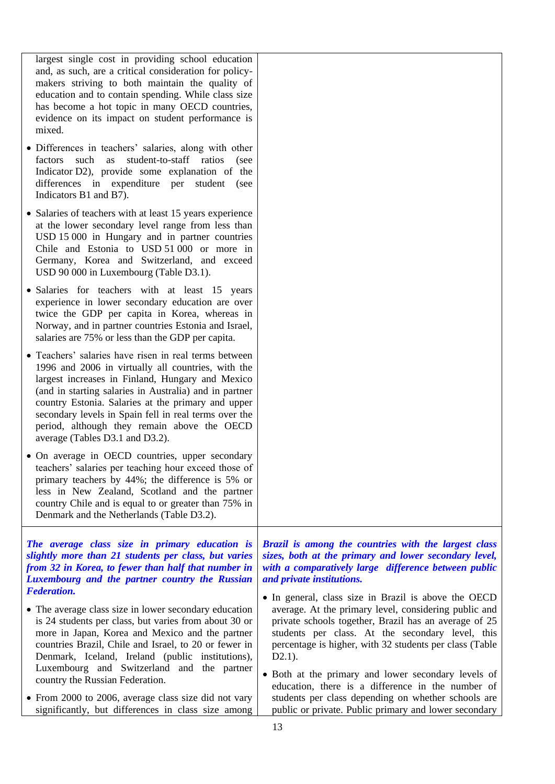largest single cost in providing school education and, as such, are a critical consideration for policymakers striving to both maintain the quality of education and to contain spending. While class size has become a hot topic in many OECD countries, evidence on its impact on student performance is mixed.

- Differences in teachers' salaries, along with other factors such as student-to-staff ratios (see Indicator D2), provide some explanation of the differences in expenditure per student (see Indicators B1 and B7).
- Salaries of teachers with at least 15 years experience at the lower secondary level range from less than USD 15 000 in Hungary and in partner countries Chile and Estonia to USD 51 000 or more in Germany, Korea and Switzerland, and exceed USD 90 000 in Luxembourg (Table D3.1).
- Salaries for teachers with at least 15 years experience in lower secondary education are over twice the GDP per capita in Korea, whereas in Norway, and in partner countries Estonia and Israel, salaries are 75% or less than the GDP per capita.
- Teachers' salaries have risen in real terms between 1996 and 2006 in virtually all countries, with the largest increases in Finland, Hungary and Mexico (and in starting salaries in Australia) and in partner country Estonia. Salaries at the primary and upper secondary levels in Spain fell in real terms over the period, although they remain above the OECD average (Tables D3.1 and D3.2).
- On average in OECD countries, upper secondary teachers' salaries per teaching hour exceed those of primary teachers by 44%; the difference is 5% or less in New Zealand, Scotland and the partner country Chile and is equal to or greater than 75% in Denmark and the Netherlands (Table D3.2).

*The average class size in primary education is slightly more than 21 students per class, but varies from 32 in Korea, to fewer than half that number in Luxembourg and the partner country the Russian Federation.* 

- The average class size in lower secondary education is 24 students per class, but varies from about 30 or more in Japan, Korea and Mexico and the partner countries Brazil, Chile and Israel, to 20 or fewer in Denmark, Iceland, Ireland (public institutions), Luxembourg and Switzerland and the partner country the Russian Federation.
- From 2000 to 2006, average class size did not vary significantly, but differences in class size among

*Brazil is among the countries with the largest class sizes, both at the primary and lower secondary level, with a comparatively large difference between public and private institutions.* 

- In general, class size in Brazil is above the OECD average. At the primary level, considering public and private schools together, Brazil has an average of 25 students per class. At the secondary level, this percentage is higher, with 32 students per class (Table D2.1).
- Both at the primary and lower secondary levels of education, there is a difference in the number of students per class depending on whether schools are public or private. Public primary and lower secondary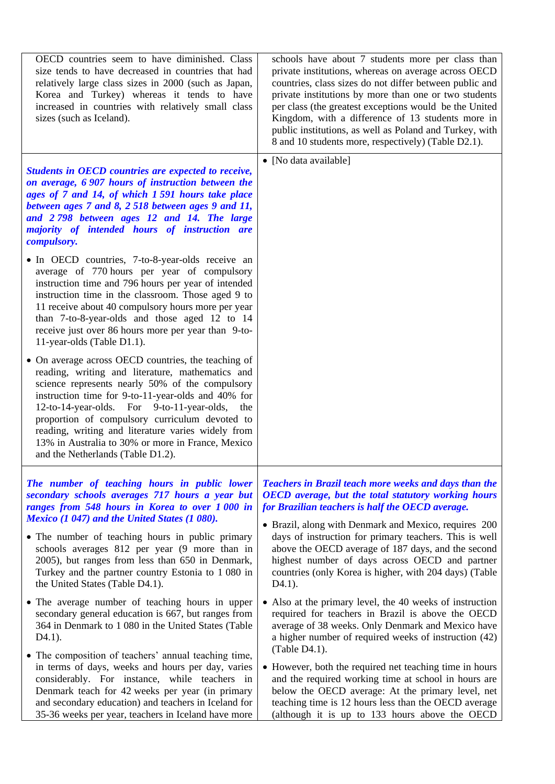| OECD countries seem to have diminished. Class<br>size tends to have decreased in countries that had<br>relatively large class sizes in 2000 (such as Japan,<br>Korea and Turkey) whereas it tends to have<br>increased in countries with relatively small class<br>sizes (such as Iceland).                                                                                                                                                                                                                                                      | schools have about 7 students more per class than<br>private institutions, whereas on average across OECD<br>countries, class sizes do not differ between public and<br>private institutions by more than one or two students<br>per class (the greatest exceptions would be the United<br>Kingdom, with a difference of 13 students more in<br>public institutions, as well as Poland and Turkey, with<br>8 and 10 students more, respectively) (Table D2.1). |
|--------------------------------------------------------------------------------------------------------------------------------------------------------------------------------------------------------------------------------------------------------------------------------------------------------------------------------------------------------------------------------------------------------------------------------------------------------------------------------------------------------------------------------------------------|----------------------------------------------------------------------------------------------------------------------------------------------------------------------------------------------------------------------------------------------------------------------------------------------------------------------------------------------------------------------------------------------------------------------------------------------------------------|
| Students in OECD countries are expected to receive,<br>on average, 6 907 hours of instruction between the<br>ages of 7 and 14, of which 1591 hours take place<br>between ages 7 and 8, 2518 between ages 9 and 11,<br>and 2798 between ages 12 and 14. The large<br>majority of intended hours of instruction are<br>compulsory.<br>• In OECD countries, 7-to-8-year-olds receive an<br>average of 770 hours per year of compulsory<br>instruction time and 796 hours per year of intended<br>instruction time in the classroom. Those aged 9 to | • [No data available]                                                                                                                                                                                                                                                                                                                                                                                                                                          |
| 11 receive about 40 compulsory hours more per year<br>than 7-to-8-year-olds and those aged 12 to 14<br>receive just over 86 hours more per year than 9-to-<br>11-year-olds (Table D1.1).                                                                                                                                                                                                                                                                                                                                                         |                                                                                                                                                                                                                                                                                                                                                                                                                                                                |
| • On average across OECD countries, the teaching of<br>reading, writing and literature, mathematics and<br>science represents nearly 50% of the compulsory<br>instruction time for 9-to-11-year-olds and 40% for<br>12-to-14-year-olds. For 9-to-11-year-olds,<br>the<br>proportion of compulsory curriculum devoted to<br>reading, writing and literature varies widely from<br>13% in Australia to 30% or more in France, Mexico<br>and the Netherlands (Table D1.2).                                                                          |                                                                                                                                                                                                                                                                                                                                                                                                                                                                |
| The number of teaching hours in public lower<br>secondary schools averages 717 hours a year but<br>ranges from 548 hours in Korea to over 1000 in<br>Mexico (1 047) and the United States (1 080).                                                                                                                                                                                                                                                                                                                                               | <b>Teachers in Brazil teach more weeks and days than the</b><br><b>OECD</b> average, but the total statutory working hours<br>for Brazilian teachers is half the OECD average.<br>• Brazil, along with Denmark and Mexico, requires 200                                                                                                                                                                                                                        |
| • The number of teaching hours in public primary<br>schools averages 812 per year (9 more than in<br>2005), but ranges from less than 650 in Denmark,<br>Turkey and the partner country Estonia to 1 080 in<br>the United States (Table D4.1).                                                                                                                                                                                                                                                                                                   | days of instruction for primary teachers. This is well<br>above the OECD average of 187 days, and the second<br>highest number of days across OECD and partner<br>countries (only Korea is higher, with 204 days) (Table<br>$D4.1$ ).                                                                                                                                                                                                                          |
| • The average number of teaching hours in upper<br>secondary general education is 667, but ranges from<br>364 in Denmark to 1 080 in the United States (Table<br>$D4.1$ ).                                                                                                                                                                                                                                                                                                                                                                       | • Also at the primary level, the 40 weeks of instruction<br>required for teachers in Brazil is above the OECD<br>average of 38 weeks. Only Denmark and Mexico have<br>a higher number of required weeks of instruction (42)<br>(Table D4.1).                                                                                                                                                                                                                   |
| • The composition of teachers' annual teaching time,<br>in terms of days, weeks and hours per day, varies<br>considerably. For instance, while teachers in<br>Denmark teach for 42 weeks per year (in primary<br>and secondary education) and teachers in Iceland for<br>35-36 weeks per year, teachers in Iceland have more                                                                                                                                                                                                                     | • However, both the required net teaching time in hours<br>and the required working time at school in hours are<br>below the OECD average: At the primary level, net<br>teaching time is 12 hours less than the OECD average<br>(although it is up to 133 hours above the OECD                                                                                                                                                                                 |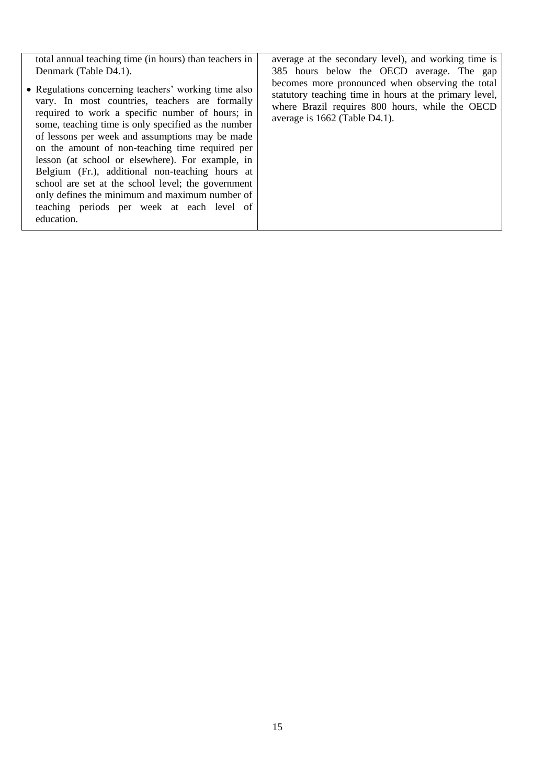| total annual teaching time (in hours) than teachers in                                                                                                                                                                                                                                                                                                                                                                                                                                                                                                                                            | average at the secondary level), and working time is                                                                                                                                           |
|---------------------------------------------------------------------------------------------------------------------------------------------------------------------------------------------------------------------------------------------------------------------------------------------------------------------------------------------------------------------------------------------------------------------------------------------------------------------------------------------------------------------------------------------------------------------------------------------------|------------------------------------------------------------------------------------------------------------------------------------------------------------------------------------------------|
| Denmark (Table D4.1).                                                                                                                                                                                                                                                                                                                                                                                                                                                                                                                                                                             | 385 hours below the OECD average. The gap                                                                                                                                                      |
| • Regulations concerning teachers' working time also<br>vary. In most countries, teachers are formally<br>required to work a specific number of hours; in<br>some, teaching time is only specified as the number<br>of lessons per week and assumptions may be made<br>on the amount of non-teaching time required per<br>lesson (at school or elsewhere). For example, in<br>Belgium (Fr.), additional non-teaching hours at<br>school are set at the school level; the government<br>only defines the minimum and maximum number of<br>teaching periods per week at each level of<br>education. | becomes more pronounced when observing the total<br>statutory teaching time in hours at the primary level,<br>where Brazil requires 800 hours, while the OECD<br>average is 1662 (Table D4.1). |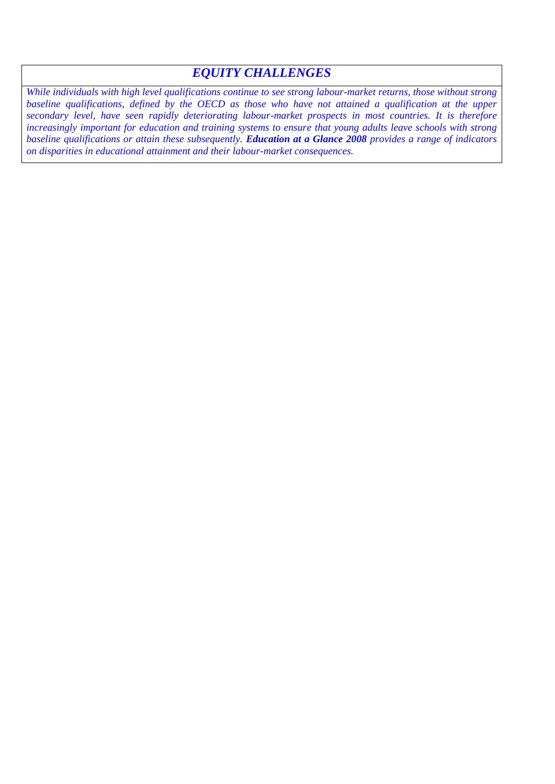### *EQUITY CHALLENGES*

*While individuals with high level qualifications continue to see strong labour-market returns, those without strong*  baseline qualifications, defined by the OECD as those who have not attained a qualification at the upper *secondary level, have seen rapidly deteriorating labour-market prospects in most countries. It is therefore increasingly important for education and training systems to ensure that young adults leave schools with strong baseline qualifications or attain these subsequently. Education at a Glance 2008 provides a range of indicators on disparities in educational attainment and their labour-market consequences.*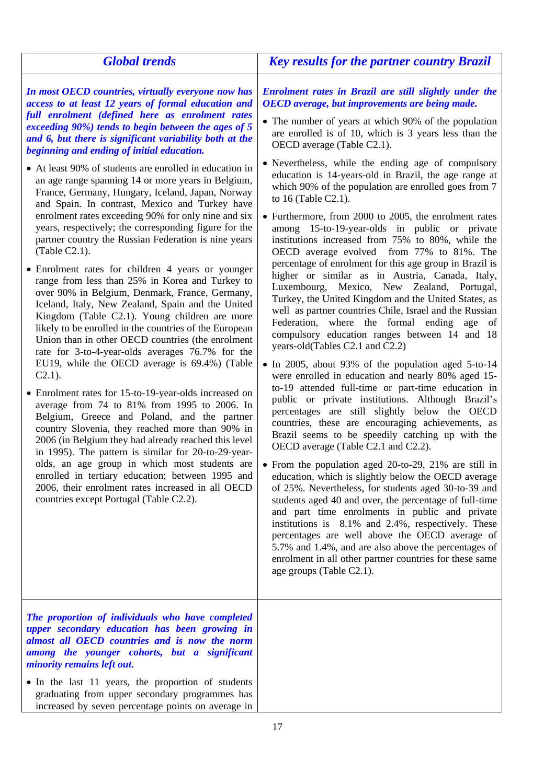| Enrolment rates in Brazil are still slightly under the                                                                                                                                                                                                                                                                                                                                                                                                                                                                                                                                                                                                                                                                                                                                                                                                                                                                                                                                                                                                                                                                                                                                                                                                                                                                                                                                                                                                                                                                                                                                                                                                                                                                                                                                                                                                                                                                                                                                       |
|----------------------------------------------------------------------------------------------------------------------------------------------------------------------------------------------------------------------------------------------------------------------------------------------------------------------------------------------------------------------------------------------------------------------------------------------------------------------------------------------------------------------------------------------------------------------------------------------------------------------------------------------------------------------------------------------------------------------------------------------------------------------------------------------------------------------------------------------------------------------------------------------------------------------------------------------------------------------------------------------------------------------------------------------------------------------------------------------------------------------------------------------------------------------------------------------------------------------------------------------------------------------------------------------------------------------------------------------------------------------------------------------------------------------------------------------------------------------------------------------------------------------------------------------------------------------------------------------------------------------------------------------------------------------------------------------------------------------------------------------------------------------------------------------------------------------------------------------------------------------------------------------------------------------------------------------------------------------------------------------|
| OECD average, but improvements are being made.<br>• The number of years at which 90% of the population<br>are enrolled is of 10, which is 3 years less than the<br>OECD average (Table C2.1).<br>• Nevertheless, while the ending age of compulsory<br>education is 14-years-old in Brazil, the age range at<br>which 90% of the population are enrolled goes from 7<br>to 16 (Table C2.1).<br>• Furthermore, from 2000 to 2005, the enrolment rates<br>among 15-to-19-year-olds in public or private<br>institutions increased from 75% to 80%, while the<br>OECD average evolved from 77% to 81%. The<br>percentage of enrolment for this age group in Brazil is<br>higher or similar as in Austria, Canada, Italy,<br>Luxembourg, Mexico, New Zealand, Portugal,<br>Turkey, the United Kingdom and the United States, as<br>well as partner countries Chile, Israel and the Russian<br>Federation, where the formal ending age of<br>compulsory education ranges between 14 and 18<br>years-old(Tables C2.1 and C2.2)<br>• In 2005, about 93% of the population aged 5-to-14<br>were enrolled in education and nearly 80% aged 15-<br>to-19 attended full-time or part-time education in<br>public or private institutions. Although Brazil's<br>percentages are still slightly below the OECD<br>countries, these are encouraging achievements, as<br>Brazil seems to be speedily catching up with the<br>OECD average (Table C2.1 and C2.2).<br>• From the population aged 20-to-29, 21% are still in<br>education, which is slightly below the OECD average<br>of 25%. Nevertheless, for students aged 30-to-39 and<br>students aged 40 and over, the percentage of full-time<br>and part time enrolments in public and private<br>institutions is 8.1% and 2.4%, respectively. These<br>percentages are well above the OECD average of<br>5.7% and 1.4%, and are also above the percentages of<br>enrolment in all other partner countries for these same<br>age groups (Table C2.1). |
|                                                                                                                                                                                                                                                                                                                                                                                                                                                                                                                                                                                                                                                                                                                                                                                                                                                                                                                                                                                                                                                                                                                                                                                                                                                                                                                                                                                                                                                                                                                                                                                                                                                                                                                                                                                                                                                                                                                                                                                              |
| increased by seven percentage points on average in                                                                                                                                                                                                                                                                                                                                                                                                                                                                                                                                                                                                                                                                                                                                                                                                                                                                                                                                                                                                                                                                                                                                                                                                                                                                                                                                                                                                                                                                                                                                                                                                                                                                                                                                                                                                                                                                                                                                           |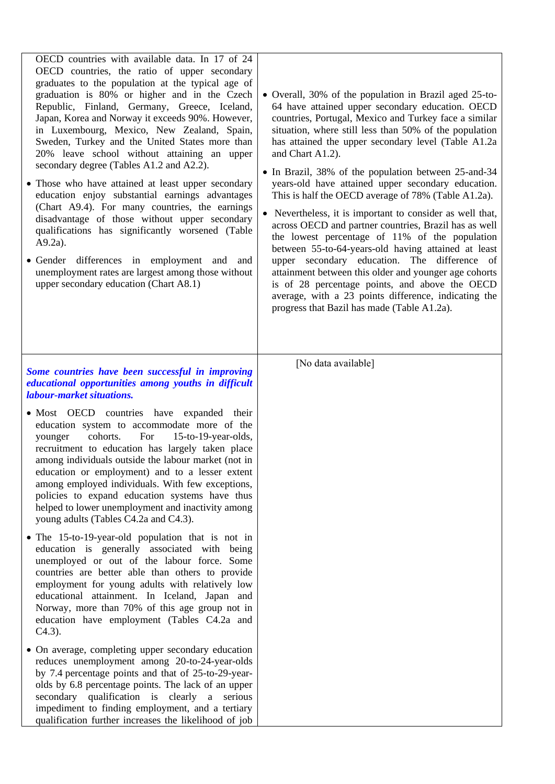| OECD countries with available data. In 17 of 24<br>OECD countries, the ratio of upper secondary<br>graduates to the population at the typical age of<br>graduation is 80% or higher and in the Czech<br>Republic, Finland, Germany, Greece, Iceland,<br>Japan, Korea and Norway it exceeds 90%. However,<br>in Luxembourg, Mexico, New Zealand, Spain,<br>Sweden, Turkey and the United States more than<br>20% leave school without attaining an upper<br>secondary degree (Tables A1.2 and A2.2).<br>• Those who have attained at least upper secondary<br>education enjoy substantial earnings advantages<br>(Chart A9.4). For many countries, the earnings<br>disadvantage of those without upper secondary<br>qualifications has significantly worsened (Table<br>$A9.2a$ ).<br>· Gender differences in employment and and<br>unemployment rates are largest among those without<br>upper secondary education (Chart A8.1) | • Overall, 30% of the population in Brazil aged 25-to-<br>64 have attained upper secondary education. OECD<br>countries, Portugal, Mexico and Turkey face a similar<br>situation, where still less than 50% of the population<br>has attained the upper secondary level (Table A1.2a<br>and Chart A1.2).<br>• In Brazil, 38% of the population between 25-and-34<br>years-old have attained upper secondary education.<br>This is half the OECD average of 78% (Table A1.2a).<br>Nevertheless, it is important to consider as well that,<br>across OECD and partner countries, Brazil has as well<br>the lowest percentage of 11% of the population<br>between 55-to-64-years-old having attained at least<br>upper secondary education. The difference of<br>attainment between this older and younger age cohorts<br>is of 28 percentage points, and above the OECD<br>average, with a 23 points difference, indicating the<br>progress that Bazil has made (Table A1.2a). |
|---------------------------------------------------------------------------------------------------------------------------------------------------------------------------------------------------------------------------------------------------------------------------------------------------------------------------------------------------------------------------------------------------------------------------------------------------------------------------------------------------------------------------------------------------------------------------------------------------------------------------------------------------------------------------------------------------------------------------------------------------------------------------------------------------------------------------------------------------------------------------------------------------------------------------------|------------------------------------------------------------------------------------------------------------------------------------------------------------------------------------------------------------------------------------------------------------------------------------------------------------------------------------------------------------------------------------------------------------------------------------------------------------------------------------------------------------------------------------------------------------------------------------------------------------------------------------------------------------------------------------------------------------------------------------------------------------------------------------------------------------------------------------------------------------------------------------------------------------------------------------------------------------------------------|
| Some countries have been successful in improving<br>educational opportunities among youths in difficult<br><i>labour-market situations.</i>                                                                                                                                                                                                                                                                                                                                                                                                                                                                                                                                                                                                                                                                                                                                                                                     | [No data available]                                                                                                                                                                                                                                                                                                                                                                                                                                                                                                                                                                                                                                                                                                                                                                                                                                                                                                                                                          |
| · Most OECD countries have expanded their<br>education system to accommodate more of the<br>For<br>cohorts.<br>15-to-19-year-olds,<br>younger<br>recruitment to education has largely taken place<br>among individuals outside the labour market (not in<br>education or employment) and to a lesser extent<br>among employed individuals. With few exceptions,<br>policies to expand education systems have thus<br>helped to lower unemployment and inactivity among<br>young adults (Tables C4.2a and C4.3).                                                                                                                                                                                                                                                                                                                                                                                                                 |                                                                                                                                                                                                                                                                                                                                                                                                                                                                                                                                                                                                                                                                                                                                                                                                                                                                                                                                                                              |
| • The 15-to-19-year-old population that is not in<br>education is generally associated with being<br>unemployed or out of the labour force. Some<br>countries are better able than others to provide<br>employment for young adults with relatively low<br>educational attainment. In Iceland, Japan and<br>Norway, more than 70% of this age group not in<br>education have employment (Tables C4.2a and<br>$C4.3$ ).                                                                                                                                                                                                                                                                                                                                                                                                                                                                                                          |                                                                                                                                                                                                                                                                                                                                                                                                                                                                                                                                                                                                                                                                                                                                                                                                                                                                                                                                                                              |
| • On average, completing upper secondary education<br>reduces unemployment among 20-to-24-year-olds<br>by 7.4 percentage points and that of 25-to-29-year-<br>olds by 6.8 percentage points. The lack of an upper<br>secondary qualification is clearly a serious<br>impediment to finding employment, and a tertiary<br>qualification further increases the likelihood of job                                                                                                                                                                                                                                                                                                                                                                                                                                                                                                                                                  |                                                                                                                                                                                                                                                                                                                                                                                                                                                                                                                                                                                                                                                                                                                                                                                                                                                                                                                                                                              |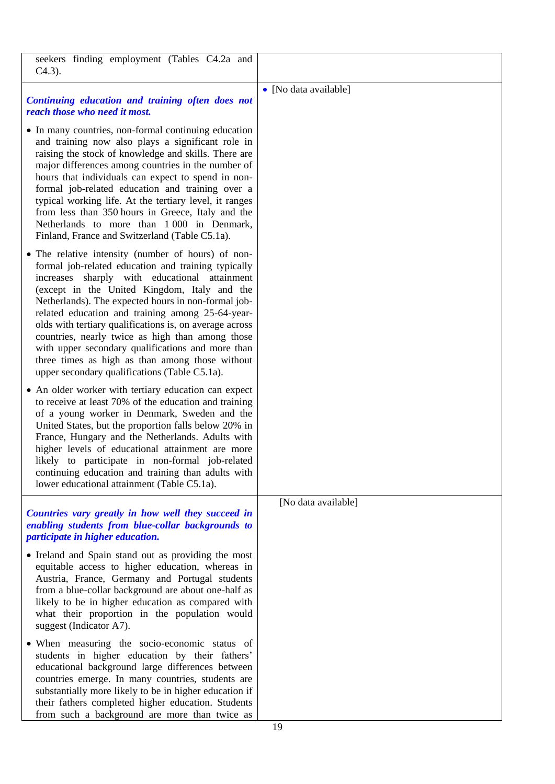| seekers finding employment (Tables C4.2a and<br>$C4.3$ ).                                                                                                                                                                                                                                                                                                                                                                                                                                                                                                                                     |                       |
|-----------------------------------------------------------------------------------------------------------------------------------------------------------------------------------------------------------------------------------------------------------------------------------------------------------------------------------------------------------------------------------------------------------------------------------------------------------------------------------------------------------------------------------------------------------------------------------------------|-----------------------|
|                                                                                                                                                                                                                                                                                                                                                                                                                                                                                                                                                                                               | • [No data available] |
| Continuing education and training often does not<br>reach those who need it most.                                                                                                                                                                                                                                                                                                                                                                                                                                                                                                             |                       |
| • In many countries, non-formal continuing education<br>and training now also plays a significant role in<br>raising the stock of knowledge and skills. There are<br>major differences among countries in the number of<br>hours that individuals can expect to spend in non-<br>formal job-related education and training over a<br>typical working life. At the tertiary level, it ranges<br>from less than 350 hours in Greece, Italy and the<br>Netherlands to more than 1 000 in Denmark,<br>Finland, France and Switzerland (Table C5.1a).                                              |                       |
| • The relative intensity (number of hours) of non-<br>formal job-related education and training typically<br>increases sharply with educational attainment<br>(except in the United Kingdom, Italy and the<br>Netherlands). The expected hours in non-formal job-<br>related education and training among 25-64-year-<br>olds with tertiary qualifications is, on average across<br>countries, nearly twice as high than among those<br>with upper secondary qualifications and more than<br>three times as high as than among those without<br>upper secondary qualifications (Table C5.1a). |                       |
| • An older worker with tertiary education can expect<br>to receive at least 70% of the education and training<br>of a young worker in Denmark, Sweden and the<br>United States, but the proportion falls below 20% in<br>France, Hungary and the Netherlands. Adults with<br>higher levels of educational attainment are more<br>likely to participate in non-formal job-related<br>continuing education and training than adults with<br>lower educational attainment (Table C5.1a).                                                                                                         |                       |
|                                                                                                                                                                                                                                                                                                                                                                                                                                                                                                                                                                                               | [No data available]   |
| Countries vary greatly in how well they succeed in                                                                                                                                                                                                                                                                                                                                                                                                                                                                                                                                            |                       |
| enabling students from blue-collar backgrounds to<br>participate in higher education.                                                                                                                                                                                                                                                                                                                                                                                                                                                                                                         |                       |
|                                                                                                                                                                                                                                                                                                                                                                                                                                                                                                                                                                                               |                       |
| • Ireland and Spain stand out as providing the most<br>equitable access to higher education, whereas in<br>Austria, France, Germany and Portugal students<br>from a blue-collar background are about one-half as<br>likely to be in higher education as compared with<br>what their proportion in the population would<br>suggest (Indicator A7).                                                                                                                                                                                                                                             |                       |
| • When measuring the socio-economic status of<br>students in higher education by their fathers'<br>educational background large differences between<br>countries emerge. In many countries, students are<br>substantially more likely to be in higher education if<br>their fathers completed higher education. Students                                                                                                                                                                                                                                                                      |                       |
| from such a background are more than twice as                                                                                                                                                                                                                                                                                                                                                                                                                                                                                                                                                 |                       |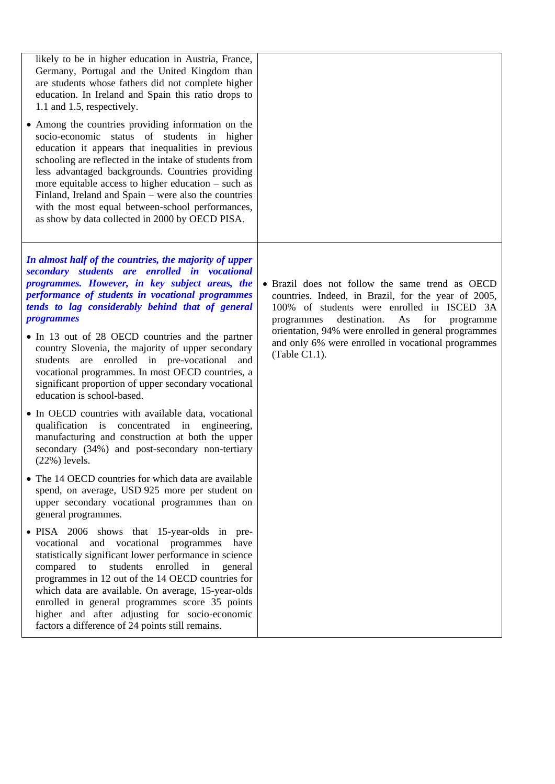| likely to be in higher education in Austria, France,<br>Germany, Portugal and the United Kingdom than<br>are students whose fathers did not complete higher<br>education. In Ireland and Spain this ratio drops to<br>1.1 and 1.5, respectively.<br>• Among the countries providing information on the<br>socio-economic status of students in higher<br>education it appears that inequalities in previous<br>schooling are reflected in the intake of students from<br>less advantaged backgrounds. Countries providing<br>more equitable access to higher education $-$ such as<br>Finland, Ireland and Spain – were also the countries<br>with the most equal between-school performances,<br>as show by data collected in 2000 by OECD PISA. |                                                                                                                                                                                                                                                                                                                                             |
|---------------------------------------------------------------------------------------------------------------------------------------------------------------------------------------------------------------------------------------------------------------------------------------------------------------------------------------------------------------------------------------------------------------------------------------------------------------------------------------------------------------------------------------------------------------------------------------------------------------------------------------------------------------------------------------------------------------------------------------------------|---------------------------------------------------------------------------------------------------------------------------------------------------------------------------------------------------------------------------------------------------------------------------------------------------------------------------------------------|
| In almost half of the countries, the majority of upper<br>secondary students are enrolled in vocational<br>programmes. However, in key subject areas, the<br>performance of students in vocational programmes<br>tends to lag considerably behind that of general<br><i>programmes</i><br>• In 13 out of 28 OECD countries and the partner<br>country Slovenia, the majority of upper secondary<br>students are enrolled in pre-vocational and<br>vocational programmes. In most OECD countries, a<br>significant proportion of upper secondary vocational<br>education is school-based.                                                                                                                                                          | • Brazil does not follow the same trend as OECD<br>countries. Indeed, in Brazil, for the year of 2005,<br>100% of students were enrolled in ISCED 3A<br>destination.<br>As<br>for<br>programmes<br>programme<br>orientation, 94% were enrolled in general programmes<br>and only 6% were enrolled in vocational programmes<br>(Table C1.1). |
| • In OECD countries with available data, vocational<br>qualification is concentrated in engineering,<br>manufacturing and construction at both the upper<br>secondary (34%) and post-secondary non-tertiary<br>$(22%)$ levels.                                                                                                                                                                                                                                                                                                                                                                                                                                                                                                                    |                                                                                                                                                                                                                                                                                                                                             |
| • The 14 OECD countries for which data are available<br>spend, on average, USD 925 more per student on<br>upper secondary vocational programmes than on<br>general programmes.                                                                                                                                                                                                                                                                                                                                                                                                                                                                                                                                                                    |                                                                                                                                                                                                                                                                                                                                             |
| • PISA 2006 shows that 15-year-olds in pre-<br>vocational and vocational programmes<br>have<br>statistically significant lower performance in science<br>students<br>enrolled<br>compared<br>to<br>in<br>general<br>programmes in 12 out of the 14 OECD countries for<br>which data are available. On average, 15-year-olds<br>enrolled in general programmes score 35 points<br>higher and after adjusting for socio-economic<br>factors a difference of 24 points still remains.                                                                                                                                                                                                                                                                |                                                                                                                                                                                                                                                                                                                                             |